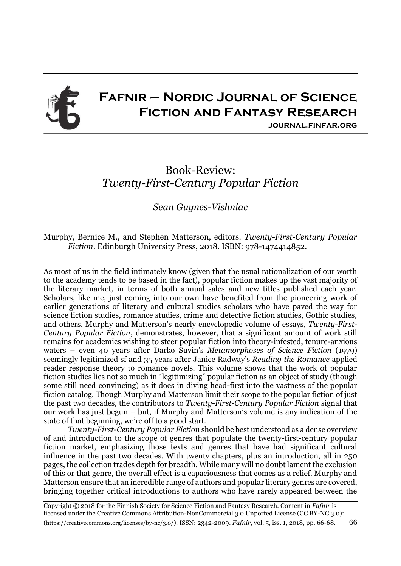

## **Fafnir – Nordic Journal of Science Fiction and Fantasy Research**

**journal.finfar.org**

## Book-Review: *Twenty-First-Century Popular Fiction*

*Sean Guynes-Vishniac*

Murphy, Bernice M., and Stephen Matterson, editors. *Twenty-First-Century Popular Fiction*. Edinburgh University Press, 2018. ISBN: 978-1474414852.

As most of us in the field intimately know (given that the usual rationalization of our worth to the academy tends to be based in the fact), popular fiction makes up the vast majority of the literary market, in terms of both annual sales and new titles published each year. Scholars, like me, just coming into our own have benefited from the pioneering work of earlier generations of literary and cultural studies scholars who have paved the way for science fiction studies, romance studies, crime and detective fiction studies, Gothic studies, and others. Murphy and Matterson's nearly encyclopedic volume of essays, *Twenty-First-Century Popular Fiction*, demonstrates, however, that a significant amount of work still remains for academics wishing to steer popular fiction into theory-infested, tenure-anxious waters – even 40 years after Darko Suvin's *Metamorphoses of Science Fiction* (1979) seemingly legitimized sf and 35 years after Janice Radway's *Reading the Romance* applied reader response theory to romance novels. This volume shows that the work of popular fiction studies lies not so much in "legitimizing" popular fiction as an object of study (though some still need convincing) as it does in diving head-first into the vastness of the popular fiction catalog. Though Murphy and Matterson limit their scope to the popular fiction of just the past two decades, the contributors to *Twenty-First-Century Popular Fiction* signal that our work has just begun – but, if Murphy and Matterson's volume is any indication of the state of that beginning, we're off to a good start.

*Twenty-First-Century Popular Fiction* should be best understood as a dense overview of and introduction to the scope of genres that populate the twenty-first-century popular fiction market, emphasizing those texts and genres that have had significant cultural influence in the past two decades. With twenty chapters, plus an introduction, all in 250 pages, the collection trades depth for breadth. While many will no doubt lament the exclusion of this or that genre, the overall effect is a capaciousness that comes as a relief. Murphy and Matterson ensure that an incredible range of authors and popular literary genres are covered, bringing together critical introductions to authors who have rarely appeared between the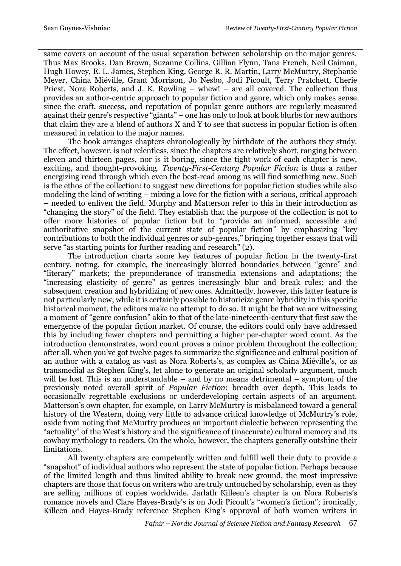same covers on account of the usual separation between scholarship on the major genres. Thus Max Brooks, Dan Brown, Suzanne Collins, Gillian Flynn, Tana French, Neil Gaiman, Hugh Howey, E. L. James, Stephen King, George R. R. Martin, Larry McMurtry, Stephanie Meyer, China Miéville, Grant Morrison, Jo Nesbø, Jodi Picoult, Terry Pratchett, Cherie Priest, Nora Roberts, and J. K. Rowling – whew! – are all covered. The collection thus provides an author-centric approach to popular fiction and genre, which only makes sense since the craft, success, and reputation of popular genre authors are regularly measured against their genre's respective "giants" – one has only to look at book blurbs for new authors that claim they are a blend of authors X and Y to see that success in popular fiction is often measured in relation to the major names.

The book arranges chapters chronologically by birthdate of the authors they study. The effect, however, is not relentless, since the chapters are relatively short, ranging between eleven and thirteen pages, nor is it boring, since the tight work of each chapter is new, exciting, and thought-provoking. *Twenty-First-Century Popular Fiction* is thus a rather energizing read through which even the best-read among us will find something new. Such is the ethos of the collection: to suggest new directions for popular fiction studies while also modeling the kind of writing – mixing a love for the fiction with a serious, critical approach – needed to enliven the field. Murphy and Matterson refer to this in their introduction as "changing the story" of the field. They establish that the purpose of the collection is not to offer more histories of popular fiction but to "provide an informed, accessible and authoritative snapshot of the current state of popular fiction" by emphasizing "key contributions to both the individual genres or sub-genres," bringing together essays that will serve "as starting points for further reading and research" (2).

The introduction charts some key features of popular fiction in the twenty-first century, noting, for example, the increasingly blurred boundaries between "genre" and "literary" markets; the preponderance of transmedia extensions and adaptations; the "increasing elasticity of genre" as genres increasingly blur and break rules; and the subsequent creation and hybridizing of new ones. Admittedly, however, this latter feature is not particularly new; while it is certainly possible to historicize genre hybridity in this specific historical moment, the editors make no attempt to do so. It might be that we are witnessing a moment of "genre confusion" akin to that of the late-nineteenth-century that first saw the emergence of the popular fiction market. Of course, the editors could only have addressed this by including fewer chapters and permitting a higher per-chapter word count. As the introduction demonstrates, word count proves a minor problem throughout the collection; after all, when you've got twelve pages to summarize the significance and cultural position of an author with a catalog as vast as Nora Roberts's, as complex as China Miéville's, or as transmedial as Stephen King's, let alone to generate an original scholarly argument, much will be lost. This is an understandable – and by no means detrimental – symptom of the previously noted overall spirit of *Popular Fiction*: breadth over depth. This leads to occasionally regrettable exclusions or underdeveloping certain aspects of an argument. Matterson's own chapter, for example, on Larry McMurtry is misbalanced toward a general history of the Western, doing very little to advance critical knowledge of McMurtry's role, aside from noting that McMurtry produces an important dialectic between representing the "actuality" of the West's history and the significance of (inaccurate) cultural memory and its cowboy mythology to readers. On the whole, however, the chapters generally outshine their limitations.

All twenty chapters are competently written and fulfill well their duty to provide a "snapshot" of individual authors who represent the state of popular fiction. Perhaps because of the limited length and thus limited ability to break new ground, the most impressive chapters are those that focus on writers who are truly untouched by scholarship, even as they are selling millions of copies worldwide. Jarlath Killeen's chapter is on Nora Roberts's romance novels and Clare Hayes-Brady's is on Jodi Picoult's "women's fiction"; ironically, Killeen and Hayes-Brady reference Stephen King's approval of both women writers in